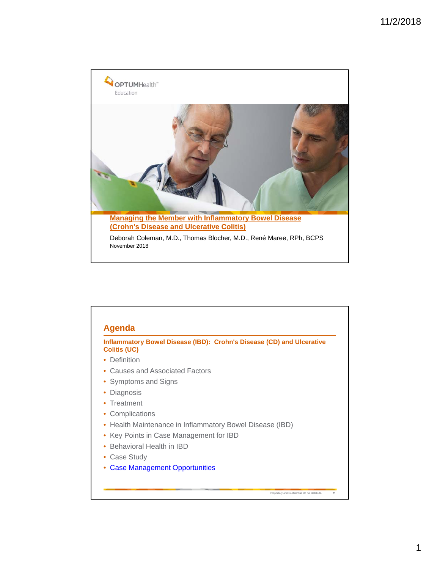

| <b>Colitis (UC)</b>                                    | Inflammatory Bowel Disease (IBD): Crohn's Disease (CD) and Ulcerative |
|--------------------------------------------------------|-----------------------------------------------------------------------|
| Definition                                             |                                                                       |
| Causes and Associated Factors                          |                                                                       |
| • Symptoms and Signs                                   |                                                                       |
| Diagnosis                                              |                                                                       |
| • Treatment                                            |                                                                       |
| Complications<br>٠                                     |                                                                       |
| Health Maintenance in Inflammatory Bowel Disease (IBD) |                                                                       |
| Key Points in Case Management for IBD                  |                                                                       |
| Behavioral Health in IBD                               |                                                                       |
| Case Study                                             |                                                                       |
| <b>Case Management Opportunities</b>                   |                                                                       |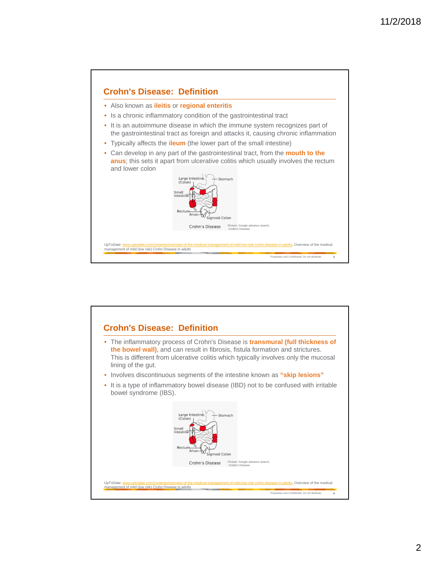

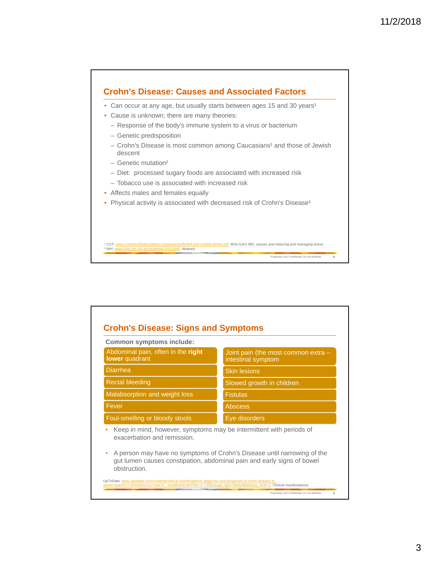

| <b>Common symptoms include:</b>                                                                         |                                                                                                                                                   |  |  |
|---------------------------------------------------------------------------------------------------------|---------------------------------------------------------------------------------------------------------------------------------------------------|--|--|
| Abdominal pain, often in the right<br>lower quadrant                                                    | Joint pain (the most common extra -<br>intestinal symptom                                                                                         |  |  |
| <b>Diarrhea</b>                                                                                         | <b>Skin lesions</b>                                                                                                                               |  |  |
| <b>Rectal bleeding</b>                                                                                  | Slowed growth in children                                                                                                                         |  |  |
| Malabsorption and weight loss                                                                           | <b>Fistulas</b>                                                                                                                                   |  |  |
| Fever                                                                                                   | <b>Abscess</b>                                                                                                                                    |  |  |
| Eye disorders<br>Foul-smelling or bloody stools                                                         |                                                                                                                                                   |  |  |
| Keep in mind, however, symptoms may be intermittent with periods of<br>۰<br>exacerbation and remission. |                                                                                                                                                   |  |  |
| ۰<br>obstruction.                                                                                       | A person may have no symptoms of Crohn's Disease until narrowing of the<br>gut lumen causes constipation, abdominal pain and early signs of bowel |  |  |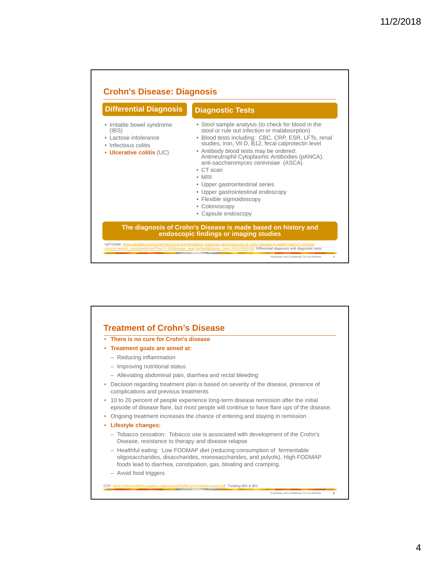

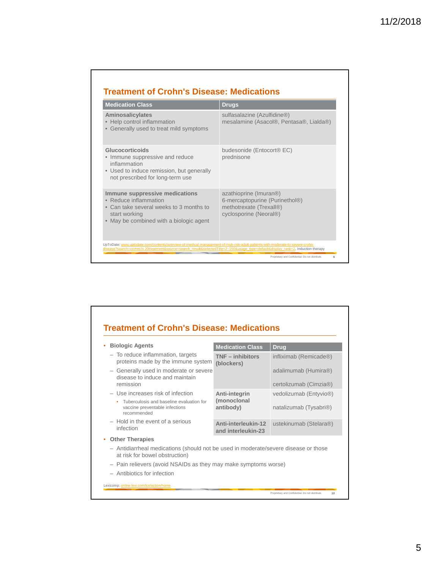| <b>Medication Class</b>                                                                                                                                        | <b>Drugs</b>                                                                                                  |  |  |  |  |
|----------------------------------------------------------------------------------------------------------------------------------------------------------------|---------------------------------------------------------------------------------------------------------------|--|--|--|--|
| <b>Aminosalicylates</b><br>• Help control inflammation<br>• Generally used to treat mild symptoms                                                              | sulfasalazine (Azulfidine®)<br>mesalamine (Asacol®, Pentasa®, Lialda®)                                        |  |  |  |  |
| Glucocorticoids<br>• Immune suppressive and reduce<br>inflammation<br>• Used to induce remission, but generally<br>not prescribed for long-term use            | budesonide (Entocort <sup>®</sup> EC)<br>prednisone                                                           |  |  |  |  |
| Immune suppressive medications<br>• Reduce inflammation<br>• Can take several weeks to 3 months to<br>start working<br>• May be combined with a biologic agent | azathioprine (Imuran®)<br>6-mercaptopurine (Purinethol®)<br>methotrexate (Trexall®)<br>cyclosporine (Neoral®) |  |  |  |  |

| <b>Biologic Agents</b>                                                                                                | <b>Medication Class</b>                   | <b>Drug</b>                                    |
|-----------------------------------------------------------------------------------------------------------------------|-------------------------------------------|------------------------------------------------|
| - To reduce inflammation, targets<br>proteins made by the immune system                                               | $TNF - inhibitors$<br>(blockers)          | infliximab (Remicade®)                         |
| - Generally used in moderate or severe<br>disease to induce and maintain<br>remission                                 |                                           | adalimumab (Humira®)<br>certolizumab (Cimzia®) |
| - Use increases risk of infection                                                                                     | Anti-integrin<br>(monoclonal<br>antibody) | vedolizumab (Entyvio <sup>®</sup> )            |
| Tuberculosis and baseline evaluation for<br>vaccine preventable infections<br>recommended                             |                                           | natalizumab (Tysabri <sup>®</sup> )            |
| $-$ Hold in the event of a serious<br>infection                                                                       | Anti-interleukin-12<br>and interleukin-23 | ustekinumab (Stelara®)                         |
| <b>Other Therapies</b>                                                                                                |                                           |                                                |
| - Antidiarrheal medications (should not be used in moderate/severe disease or those<br>at risk for bowel obstruction) |                                           |                                                |
| - Pain relievers (avoid NSAIDs as they may make symptoms worse)                                                       |                                           |                                                |
| - Antibiotics for infection                                                                                           |                                           |                                                |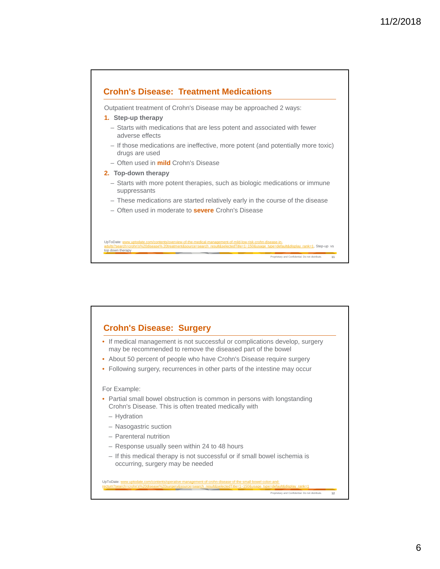

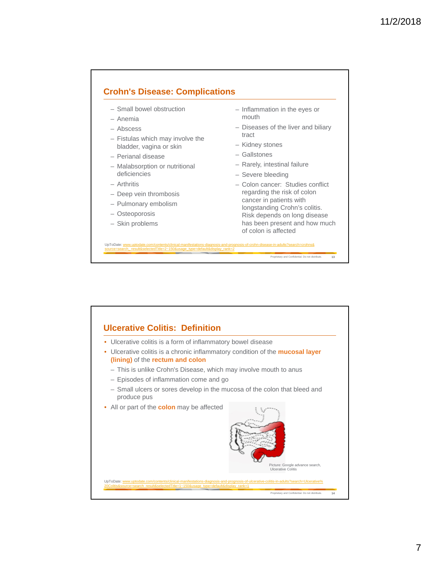## **Crohn's Disease: Complications**

source=search\_result&selectedTitle=2~150&usage\_type=default&display\_rank=2

- Small bowel obstruction
- Anemia
- Abscess
- Fistulas which may involve the bladder, vagina or skin
- Perianal disease
- Malabsorption or nutritional deficiencies
- Arthritis
- Deep vein thrombosis
- Pulmonary embolism
- Osteoporosis
- Skin problems
- Inflammation in the eyes or mouth
- Diseases of the liver and biliary tract
- Kidney stones
- Gallstones
- Rarely, intestinal failure
- Severe bleeding
- Colon cancer: Studies conflict regarding the risk of colon cancer in patients with longstanding Crohn's colitis. Risk depends on long disease has been present and how much of colon is affected

Proprietary and Confidential. Do not distribute. **13**



UpToDate: www.uptodate.com/contents/clinical-manifestations-diagnosis-and-prognosis-of-crohn-disease-in-adults?search=crohns&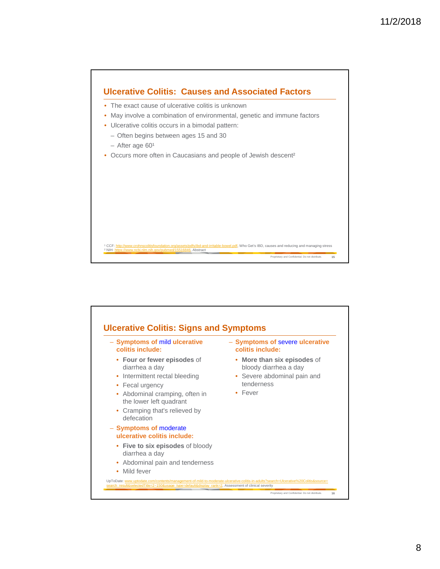

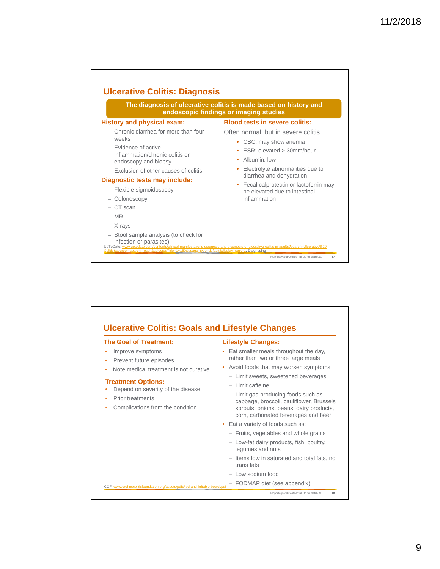

| <b>The Goal of Treatment:</b>                                                                                                                                                                                                                                                                             | <b>Lifestyle Changes:</b>                                                                                                                                                                                                                                                                                                                                                                                                                                                                                                                                                                                                |
|-----------------------------------------------------------------------------------------------------------------------------------------------------------------------------------------------------------------------------------------------------------------------------------------------------------|--------------------------------------------------------------------------------------------------------------------------------------------------------------------------------------------------------------------------------------------------------------------------------------------------------------------------------------------------------------------------------------------------------------------------------------------------------------------------------------------------------------------------------------------------------------------------------------------------------------------------|
| Improve symptoms<br>۰<br>Prevent future episodes<br>٠<br>Note medical treatment is not curative<br><b>Treatment Options:</b><br>Depend on severity of the disease<br>Prior treatments<br>Complications from the condition<br>CCF: www.crohnscolitisfoundation.org/assets/pdfs/ibd-and-irritable-bowel.pdf | Eat smaller meals throughout the day,<br>rather than two or three large meals<br>Avoid foods that may worsen symptoms<br>- Limit sweets, sweetened beverages<br>$-$ I imit caffeine<br>- Limit gas-producing foods such as<br>cabbage, broccoli, cauliflower, Brussels<br>sprouts, onions, beans, dairy products,<br>corn, carbonated beverages and beer<br>• Eat a variety of foods such as:<br>- Fruits, vegetables and whole grains<br>- Low-fat dairy products, fish, poultry,<br>legumes and nuts<br>- Items low in saturated and total fats, no<br>trans fats<br>- Low sodium food<br>- FODMAP diet (see appendix) |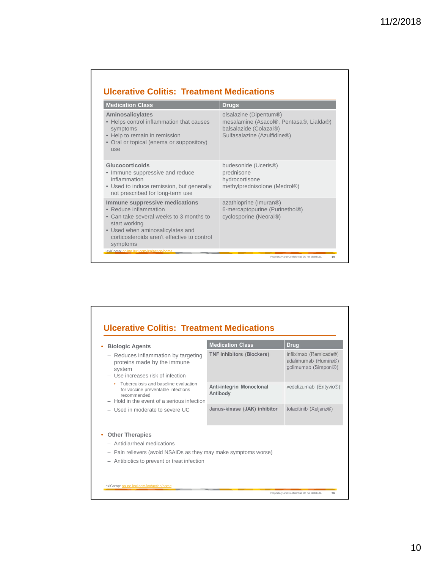| <b>Drugs</b>                                                                                                               |  |  |  |
|----------------------------------------------------------------------------------------------------------------------------|--|--|--|
| olsalazine (Dipentum®)<br>mesalamine (Asacol®, Pentasa®, Lialda®)<br>balsalazide (Colazal®)<br>Sulfasalazine (Azulfidine®) |  |  |  |
| budesonide (Uceris <sup>®)</sup><br>prednisone<br>hydrocortisone<br>methylprednisolone (Medrol®)                           |  |  |  |
| azathioprine (Imuran®)<br>6-mercaptopurine (Purinethol®)<br>cyclosporine (Neoral®)                                         |  |  |  |
|                                                                                                                            |  |  |  |

| <b>Biologic Agents</b>                                                                                                                    | <b>Medication Class</b>              | <b>Drug</b>                                                            |
|-------------------------------------------------------------------------------------------------------------------------------------------|--------------------------------------|------------------------------------------------------------------------|
| - Reduces inflammation by targeting<br>proteins made by the immune<br>system<br>- Use increases risk of infection                         | <b>TNF Inhibitors (Blockers)</b>     | infliximab (Remicade®)<br>adalimumab (Humira®)<br>golimumab (Simponi®) |
| Tuberculosis and baseline evaluation<br>for vaccine preventable infections<br>recommended<br>$-$ Hold in the event of a serious infection | Anti-integrin Monoclonal<br>Antibody | vedolizumab (Entyvio®)                                                 |
| $-$ Used in moderate to severe UC                                                                                                         | Janus-kinase (JAK) inhibitor         | tofacitinib (Xeljanz®)                                                 |
| <b>Other Therapies</b>                                                                                                                    |                                      |                                                                        |
| - Antidiarrheal medications                                                                                                               |                                      |                                                                        |
| - Pain relievers (avoid NSAIDs as they may make symptoms worse)                                                                           |                                      |                                                                        |
| - Antibiotics to prevent or treat infection                                                                                               |                                      |                                                                        |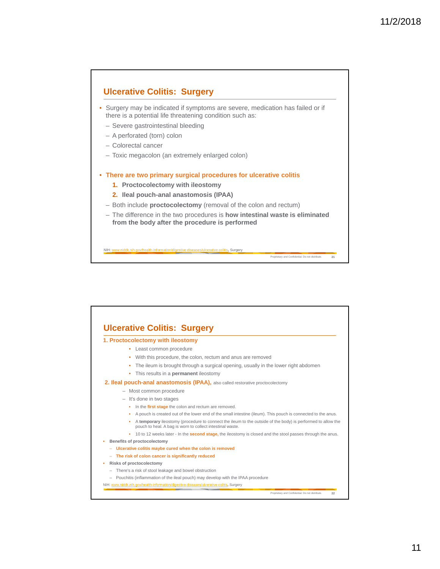## **Ulcerative Colitis: Surgery**

- Surgery may be indicated if symptoms are severe, medication has failed or if there is a potential life threatening condition such as:
	- Severe gastrointestinal bleeding
	- A perforated (torn) colon
	- Colorectal cancer
	- Toxic megacolon (an extremely enlarged colon)
- **There are two primary surgical procedures for ulcerative colitis**
	- **1. Proctocolectomy with ileostomy**
	- **2. Ileal pouch-anal anastomosis (IPAA)**
	- Both include **proctocolectomy** (removal of the colon and rectum)
	- The difference in the two procedures is **how intestinal waste is eliminated from the body after the procedure is performed**

Proprietary and Confidential. Do not distribute. **21**

NIH: www.niddk.nih.gov/health-information/digestive-diseases/ulcerative-colitis**,** Surgery

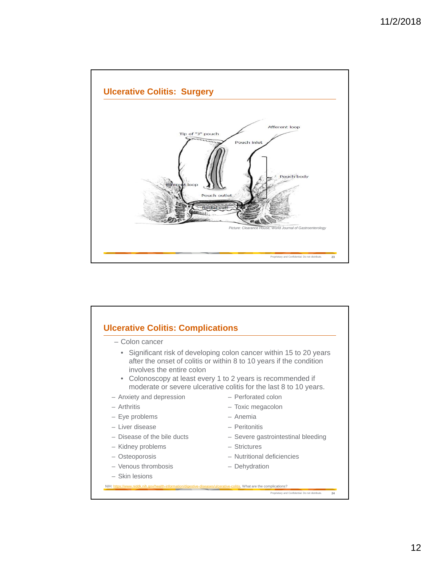

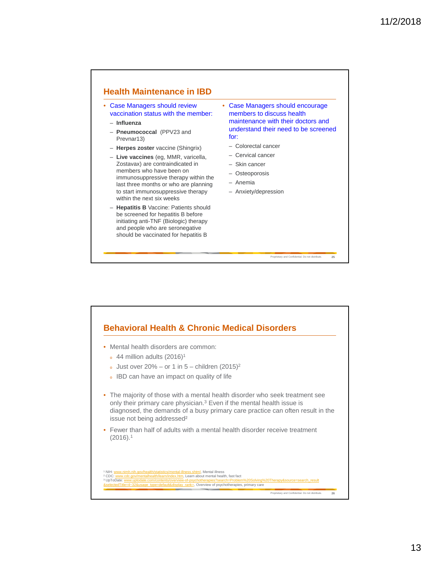## **Health Maintenance in IBD**

- Case Managers should review vaccination status with the member:
	- **Influenza**
	- **Pneumococcal** (PPV23 and Prevnar13)
	- **Herpes zoster** vaccine (Shingrix)
	- **Live vaccines** (eg, MMR, varicella, Zostavax) are contraindicated in members who have been on immunosuppressive therapy within the last three months or who are planning to start immunosuppressive therapy within the next six weeks
	- **Hepatitis B** Vaccine: Patients should be screened for hepatitis B before initiating anti-TNF (Biologic) therapy and people who are seronegative should be vaccinated for hepatitis B

• Case Managers should encourage members to discuss health maintenance with their doctors and understand their need to be screened for:

Proprietary and Confidential. Do not distribute. **25**

- Colorectal cancer
- Cervical cancer
- Skin cancer
- Osteoporosis
- Anemia
- Anxiety/depression

## Proprietary and Confidential. Do not distribute. **26 Behavioral Health & Chronic Medical Disorders** • Mental health disorders are common:  $\frac{1}{2}$  44 million adults (2016)<sup>1</sup>  $\delta$  Just over 20% – or 1 in 5 – children (2015)<sup>2</sup> <sup>o</sup> IBD can have an impact on quality of life • The majority of those with a mental health disorder who seek treatment see only their primary care physician.3 Even if the mental health issue is diagnosed, the demands of a busy primary care practice can often result in the issue not being addressed² • Fewer than half of adults with a mental health disorder receive treatment (2016).1 † NIH: <u>www.nimh.nih.gov/health/statistics/mental-illness.shtml,</u> Mental illness<br>² CDC: <u>www.cdc.gov/mentalhealth/learn/index.htm,</u> Learn about mental health, fast fact <sup>3</sup> UpToDate: www.uptodate.com/contents/overview  $\frac{32&$ usage\_type=default&display\_rank=, Overview of psychotherapies, primary care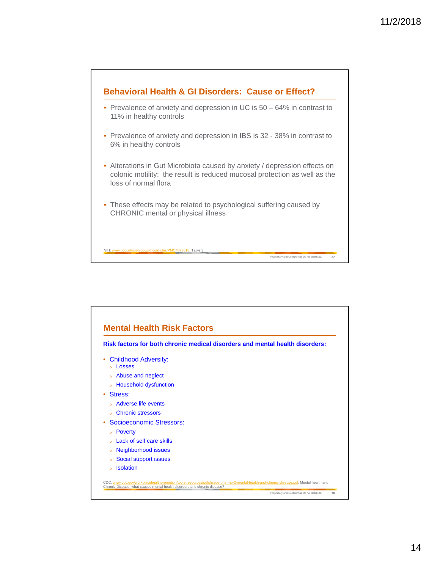

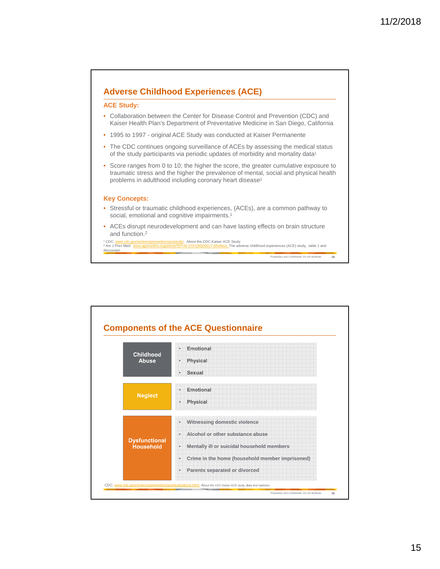

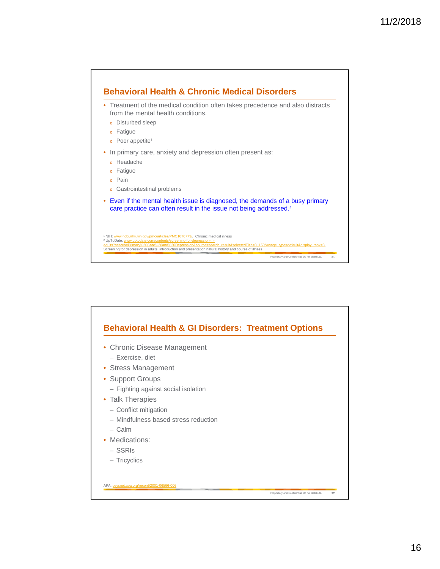

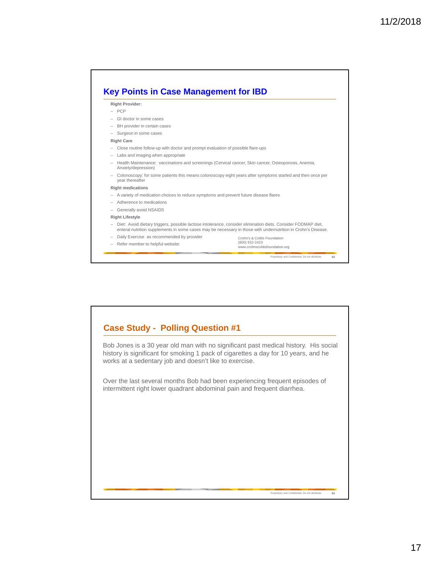

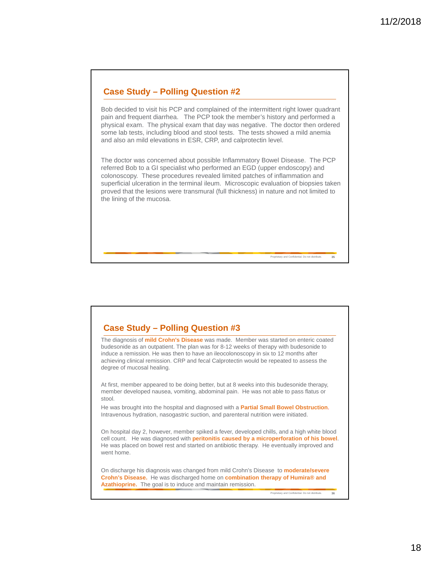## **Case Study – Polling Question #2**

Bob decided to visit his PCP and complained of the intermittent right lower quadrant pain and frequent diarrhea. The PCP took the member's history and performed a physical exam. The physical exam that day was negative. The doctor then ordered some lab tests, including blood and stool tests. The tests showed a mild anemia and also an mild elevations in ESR, CRP, and calprotectin level.

The doctor was concerned about possible Inflammatory Bowel Disease. The PCP referred Bob to a GI specialist who performed an EGD (upper endoscopy) and colonoscopy. These procedures revealed limited patches of inflammation and superficial ulceration in the terminal ileum. Microscopic evaluation of biopsies taken proved that the lesions were transmural (full thickness) in nature and not limited to the lining of the mucosa.

#### **Case Study – Polling Question #3**

The diagnosis of **mild Crohn's Disease** was made. Member was started on enteric coated budesonide as an outpatient. The plan was for 8-12 weeks of therapy with budesonide to induce a remission. He was then to have an ileocolonoscopy in six to 12 months after achieving clinical remission. CRP and fecal Calprotectin would be repeated to assess the degree of mucosal healing.

At first, member appeared to be doing better, but at 8 weeks into this budesonide therapy, member developed nausea, vomiting, abdominal pain. He was not able to pass flatus or stool.

He was brought into the hospital and diagnosed with a **Partial Small Bowel Obstruction**. Intravenous hydration, nasogastric suction, and parenteral nutrition were initiated.

On hospital day 2, however, member spiked a fever, developed chills, and a high white blood cell count. He was diagnosed with **peritonitis caused by a microperforation of his bowel**. He was placed on bowel rest and started on antibiotic therapy. He eventually improved and went home.

On discharge his diagnosis was changed from mild Crohn's Disease to **moderate/severe Crohn's Disease.** He was discharged home on **combination therapy of Humira® and Azathioprine.** The goal is to induce and maintain remission.

Proprietary and Confidential. Do not distribute. **36**

Proprietary and Confidential. Do not distribute. **35**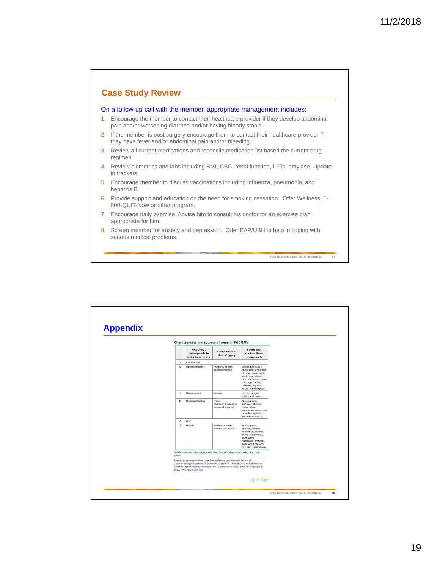

|          |              |                                                         | <b>Characteristics and sources of common FODMAPs</b>                                                                                                                                                                                                  |                                                                                                                                                                                                      |  |
|----------|--------------|---------------------------------------------------------|-------------------------------------------------------------------------------------------------------------------------------------------------------------------------------------------------------------------------------------------------------|------------------------------------------------------------------------------------------------------------------------------------------------------------------------------------------------------|--|
|          |              | <b>Word that</b><br>corresponds to<br>letter in acronym | <b>Compounds in</b><br>this category                                                                                                                                                                                                                  | <b>Foods that</b><br>contain these<br>compounds                                                                                                                                                      |  |
|          | F            | Fermentable                                             |                                                                                                                                                                                                                                                       |                                                                                                                                                                                                      |  |
|          | $\mathbf{o}$ | Oligosaccharides                                        | Fructans, galacto-<br>oligosaccharides                                                                                                                                                                                                                | Wheat, barley, rye,<br>onion, leek, white part<br>of spring onion, garlic,<br>shallots, artichokes,<br>beetroot, fennel, peas,<br>chicory, pistachio,<br>cashews, legumes,<br>lentils, and chickpeas |  |
|          | D            | <b>Disaccharides</b>                                    | Lactose                                                                                                                                                                                                                                               | Milk, custard, ice<br>cream, and yogurt                                                                                                                                                              |  |
|          | м            | Monosaccharides                                         | "Free<br>fructose" (fructose in<br>excess of glucose)                                                                                                                                                                                                 | Apples, pears,<br>mangoes, cherries,<br>watermelon,<br>asparagus, sugar snap<br>peas, honey, high-<br>fructose corn syrup                                                                            |  |
|          | A            | And                                                     |                                                                                                                                                                                                                                                       |                                                                                                                                                                                                      |  |
|          | P            | Polyols                                                 | Sorbitol, mannitol,<br>maltitol, and xylitol                                                                                                                                                                                                          | Apples, pears,<br>apricots, cherries,<br>nectarines, peaches,<br>plums, watermelon,<br>mushrooms,<br>cauliflower, artificially<br>sweetened chewing<br>gum and confectionery                         |  |
|          |              |                                                         | FODMAPs: fermentable oligosaccharides, disaccharides, monosaccharides, and                                                                                                                                                                            |                                                                                                                                                                                                      |  |
| polyols. |              | 2013. www.nature.com/ajg.                               | Adapted by permission from Macmillan Publishers Ltd: American Journal of<br>Gastroenterology. Shepherd SJ, Lomer MC, Gibson PR. Short-chain carbohydrates and<br>functional gastrointestinal disorders. Am J Gastroenterol 2013; 108:707. Copyright @ |                                                                                                                                                                                                      |  |
|          |              |                                                         |                                                                                                                                                                                                                                                       | UpToDate®                                                                                                                                                                                            |  |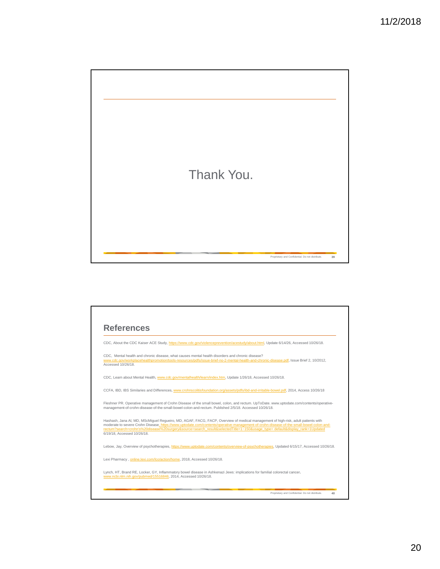